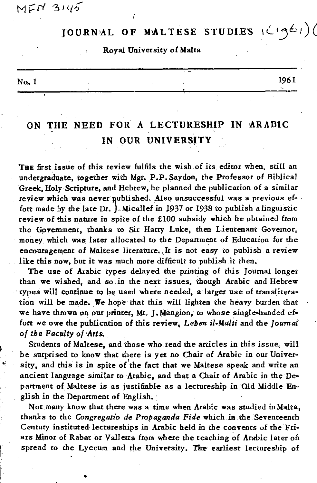$M EN 3145$ 

## $J$ OURNAL OF MALTESE STUDIES  $(\zeta, \zeta)$

## Royal University of Malta

## $N\alpha$ , 1 1961

## ON THE NEED FOR A LECTURESHIP IN ARABIC **Example:**<br>
THE A LECTURE<br>
THE OUR UNIVERS IN QUR UNIVERSJTY

THE first issue of this review fulfils the wish of its editor when, still an undergraduate, together with Mgr. P.P. Saydon, the Professor of Biblical Greek, Holy Scripture, and Hebrew, he planned the publication of a similar review which was never published. Also unsuccessful was a previous effort made by the late Dr. J. Micallef in 1937 or 1938 to publish a linguistic review of this nature in spite of the £100 subsidy which he obtained from the Government, thanks to Sir Harry Luke, then Lieutenant Governor, money which was, later allocated to the Department of Education for the encouragement of Maltese literature. It is not easy to publish a review like this now, but it was much more difficult to publish it then.

The use of Arabic types delayed the printing of this Journal longer than we wished, and so in the next issues, though Arabic and Hebrew types will continue to be used where needed, a larger use of transliteration will be made. We hope that this will lighten the heavy burden that we have thrown on our printer, Mr. J. Mangion, to whose single-handed effort we owe the publication of this review. *Lehen il-Malti* and the *Joumal of tbe Faculty of 'Arts.* 

Students of Maltese, and those who read the articles in this issue, will be surprised to know that there is yet no Chair of Arabic in our University, and this is in spite of the fact that we Maltese speak and write an ancient language similar to Arabic, and that a Chair of Arabic in the Department of Maltese is as justifiable as a lectureship in Old Middle English in the Department of English.

Not many know that there was a time when Arabic was studied in Malta, thanks to the *Congregatio de Propaganda Fide* which in the Seventeenth Century instituted lectureships in Arabic held in the convents of the Friars Minor of Rabat or Valletta from where the teaching of Arabic later on spread to the Lyceum and the University. The earliest lectureship of

•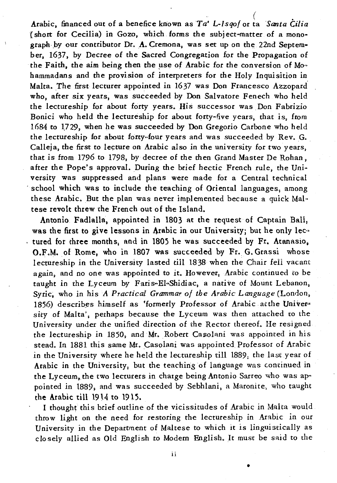( Arabic, financed out of a benefice known as *'Ta' L-Isqof* or ta *Santa* Ċilia (short for Cecilia) in Gozo, which forms the subject-matter of a monograph by our contributor Dr. A. Cremona, was set up on the 22nd September. 1637, by Decree of the Sacred Congregation for the Propagation of the Faith, the aim being then the use of Arabic for the conversion of Mo... hammadans and the provision of interpreters for the Holy Inquisition in Malta. The first lecturer appointed in 1637 was Don Francesco Azzopard' who, after six years, was succeeded by Don Salvatore Fenech who held the lectureship for about forty years. His successor was Don Fabrizio Bonici who held the lectureship for about forty-five years, that is, from 1684 to 1729, when he was succeeded by Don Gregorio Carbone who held the lectureship for about forty-four years and was succeeded by Rev. G. Calleja, the first to lecture on Arabic also in the university for two vears, that is from 1796 to 1798, by decree of the then Grand Master De Rohan, after the Pope's approval. During the brief hectic French rule, the University was suppressed and plans were made for a Central technical school which was to include the teaching of Oriental languages, among these Arabic. But the plan was never implemented because a quick Maltese revolt threw the French out of the Island.

Antonio Fadlalla, appointed in 1803 at the request of Captain Ball, was the first to give lessons in Arabic in our University; but he only lectured for three months, and in 1805 he was succeeded by Fr. Atanasio, O.F.M. of Rome, who in 1807 was succeeded by Fr. G. Grassi whose lectureship in the University lasted till 1838 when the Chair fell vacant again, and no one was appointed to it. However, Arabic continued to be taught in the Lyceum by Faris-El-Shidiac, a narive of Mount Lebanon, *Syric.* who in his *A Practical Grammar of the Arabic Language* (London, 1856) describes himself as 'formerly Professor of Arabic atthe University of Malta', perhaps because the Lyceum was then attached to the University under the unified direction of the Rector thereof. He resigned the lectureship in 1850, and Mr. Robert Casolani was appointed in his stead. In 1881 this same Mr. Casolani was appointed Professor of Arabic in the University where he held the lectureship till 1889, the last year of Arabic in the University, but the teaching of language was continued in the Lyceum, the two lecturers in charge being Antonio Sarreo who was appointed in 1889, and was succeeded by Sebhlani, a Maronite, who taught the Arabic ti11 1914 to 1915.

I thought this brief outline of the vicissitudes of Arabic in Malta would throw light on the need for restoring the lectureship in Arabic in our University in the Department of Maltese to which it is linguistical1y as do sely a1lied as 01d English to Modem English. It must be said to the

ii

•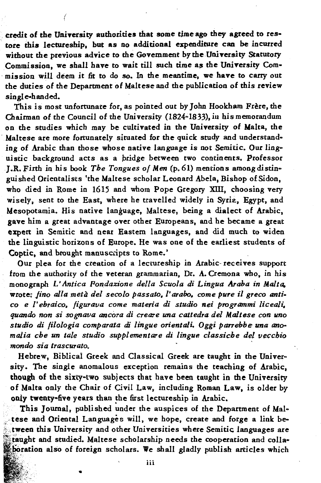credit of the University authorities that some time ago they agreed to restore this lectureship, but as no additional expenditure can be incurred without the previous advice to the Government by the University Statutory Commission, we shall have to wait till such time as the University Commission will deem it fit to do so. In the meantime, we have to carry out the duties of the Department of Maltese and the publication of this review single-handed.

This is most unfortunate for, as pointed out by John Hookham Frère, the Chairman of the Council of the University (1824-1833), in his memorandum on the studies which may be cultivated in the University of Malta, the Maltese are more fortunately situated for the quick study and understanding of Arabic than those whose native language is not Semitic. Our linguistic background acts as a bridge between two continents. Professor J.R. Firth in his book The Tongues of Men (p. 61) mentions among distinguished Orientalists 'the Maltese scholar Leonard Abela, Bishop of Sidon, who died in Rome in 1615 and whom Pope Gregory XIII, choosing very wisely, sent to the East, where he travelled widely in Syria, Egypt, and Mesopotamia. His native language, Maltese, being a dialect of Arabic, gave him a great advantage over other Europeans, and he became a great expert in Semitic and near Eastern languages, and did much to widen the linguistic horizons of Europe. He was one of the earliest students of Coptic, and brought manuscripts to Rome.'

Our plea for the creation of a lectureship in Arabic-receives support from the authority of the veteran grammarian, Dr. A. Cremona who, in his monograph L'Antica Fondazione della Scuola di Lingua Araba in Malta, wrote: fino alla metà del secolo passato, l'arabo, come pure il greco antico e l'ebraico, figurava come materia di studio nei programmi liceali, quando non si sognava ancora di creare una cattedra del Maltese con uno studio di filologia comparata di lingue orientali. Oggi parrebbe una anomalia che un tale studio supplementare di lingue classiche del vecchio mondo sia trascurato.

Hebrew, Biblical Greek and Classical Greek are taught in the University. The single anomalous exception remains the teaching of Arabic, though of the sixty-two subjects that have been taught in the University of Malta only the Chair of Civil Law, including Roman Law, is older by only twenty-five years than the first lectureship in Arabic.

This Journal, published under the auspices of the Department of Maltese and Oriental Languages will, we hope, create and forge a link between this University and other Universities where Semitic languages are taught and studied. Maltese scholarship needs the cooperation and collaboration also of foreign scholars. We shall gladly publish articles which

iii